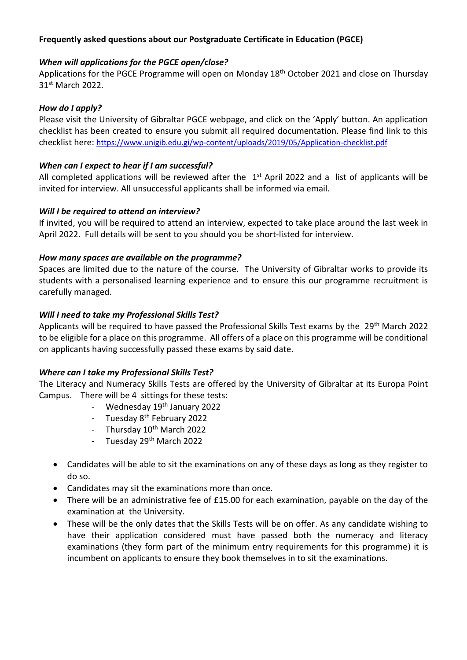# **Frequently asked questions about our Postgraduate Certificate in Education (PGCE)**

# *When will applications for the PGCE open/close?*

Applications for the PGCE Programme will open on Monday 18<sup>th</sup> October 2021 and close on Thursday 31st March 2022.

### *How do I apply?*

Please visit the University of Gibraltar PGCE webpage, and click on the 'Apply' button. An application checklist has been created to ensure you submit all required documentation. Please find link to this checklist here: <https://www.unigib.edu.gi/wp-content/uploads/2019/05/Application-checklist.pdf>

# *When can I expect to hear if I am successful?*

All completed applications will be reviewed after the  $1<sup>st</sup>$  April 2022 and a list of applicants will be invited for interview. All unsuccessful applicants shall be informed via email.

# *Will I be required to attend an interview?*

If invited, you will be required to attend an interview, expected to take place around the last week in April 2022. Full details will be sent to you should you be short-listed for interview.

### *How many spaces are available on the programme?*

Spaces are limited due to the nature of the course. The University of Gibraltar works to provide its students with a personalised learning experience and to ensure this our programme recruitment is carefully managed.

### *Will I need to take my Professional Skills Test?*

Applicants will be required to have passed the Professional Skills Test exams by the 29<sup>th</sup> March 2022 to be eligible for a place on this programme. All offers of a place on this programme will be conditional on applicants having successfully passed these exams by said date.

# *Where can I take my Professional Skills Test?*

The Literacy and Numeracy Skills Tests are offered by the University of Gibraltar at its Europa Point Campus. There will be 4 sittings for these tests:

- Wednesday 19<sup>th</sup> January 2022
- Tuesday 8<sup>th</sup> February 2022
- Thursday  $10^{th}$  March 2022
- Tuesday 29<sup>th</sup> March 2022
- Candidates will be able to sit the examinations on any of these days as long as they register to do so.
- Candidates may sit the examinations more than once.
- There will be an administrative fee of £15.00 for each examination, payable on the day of the examination at the University.
- These will be the only dates that the Skills Tests will be on offer. As any candidate wishing to have their application considered must have passed both the numeracy and literacy examinations (they form part of the minimum entry requirements for this programme) it is incumbent on applicants to ensure they book themselves in to sit the examinations.